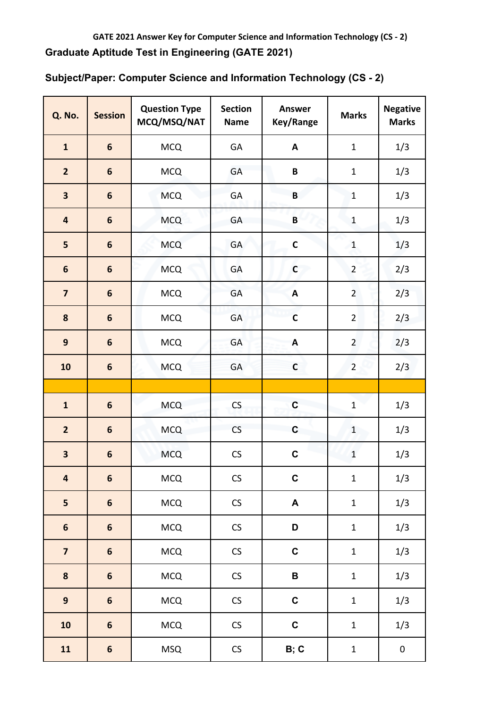| <b>Q. No.</b>           | <b>Session</b>   | <b>Question Type</b><br>MCQ/MSQ/NAT | <b>Section</b><br><b>Name</b> | <b>Answer</b><br>Key/Range | <b>Marks</b>   | <b>Negative</b><br><b>Marks</b> |
|-------------------------|------------------|-------------------------------------|-------------------------------|----------------------------|----------------|---------------------------------|
| $\mathbf{1}$            | $6\phantom{1}$   | <b>MCQ</b>                          | GA                            | A                          | $\mathbf{1}$   | 1/3                             |
| $\overline{2}$          | $6\phantom{1}6$  | <b>MCQ</b>                          | GA                            | $\pmb B$                   | $\mathbf{1}$   | 1/3                             |
| 3                       | $6\phantom{1}6$  | <b>MCQ</b>                          | <b>GA</b>                     | $\mathsf B$                | $\mathbf{1}$   | 1/3                             |
| 4                       | $6\phantom{1}6$  | <b>MCQ</b>                          | GA                            | $\pmb B$                   | $\mathbf{1}$   | 1/3                             |
| 5                       | $\boldsymbol{6}$ | <b>MCQ</b>                          | GA                            | $\mathsf C$                | $\mathbf{1}$   | 1/3                             |
| $6\phantom{1}$          | $6\phantom{1}6$  | <b>MCQ</b>                          | GA                            | $\mathsf{C}$               | $\overline{2}$ | 2/3                             |
| $\overline{\mathbf{z}}$ | $6\phantom{1}$   | <b>MCQ</b>                          | GA                            | A                          | $\overline{2}$ | 2/3                             |
| 8                       | $\boldsymbol{6}$ | <b>MCQ</b>                          | GA                            | $\mathsf{C}$               | $\overline{2}$ | 2/3                             |
| $\mathbf{9}$            | $6\phantom{1}$   | <b>MCQ</b>                          | GA                            | A                          | $\overline{2}$ | 2/3                             |
| 10                      | $\boldsymbol{6}$ | <b>MCQ</b>                          | GA                            | $\mathsf{C}$               | $\overline{2}$ | 2/3                             |
|                         |                  |                                     |                               |                            |                |                                 |
| $\mathbf{1}$            | $6\phantom{1}$   | <b>MCQ</b>                          | CS                            | $\mathbf C$                | $\mathbf 1$    | 1/3                             |
| $\overline{2}$          | $6\phantom{1}$   | <b>MCQ</b>                          | CS                            | $\mathbf c$                | $\mathbf{1}$   | 1/3                             |
| 3                       | $6\phantom{1}6$  | <b>MCQ</b>                          | CS                            | $\mathbf C$                | $\mathbf{1}$   | 1/3                             |
| 4                       | $\boldsymbol{6}$ | <b>MCQ</b>                          | CS                            | C                          | $\mathbf 1$    | 1/3                             |
| 5                       | $\boldsymbol{6}$ | <b>MCQ</b>                          | ${\sf CS}$                    | $\boldsymbol{\mathsf{A}}$  | $\mathbf 1$    | 1/3                             |
| $\boldsymbol{6}$        | $\boldsymbol{6}$ | <b>MCQ</b>                          | CS                            | D                          | $\mathbf 1$    | 1/3                             |
| $\overline{\mathbf{z}}$ | $\boldsymbol{6}$ | MCQ                                 | CS                            | $\mathbf C$                | $\mathbf 1$    | 1/3                             |
| 8                       | $\boldsymbol{6}$ | <b>MCQ</b>                          | CS                            | $\, {\bf B} \,$            | $\mathbf 1$    | 1/3                             |
| $\mathbf{9}$            | $\boldsymbol{6}$ | <b>MCQ</b>                          | CS                            | $\mathbf C$                | $\mathbf 1$    | 1/3                             |
| ${\bf 10}$              | $\boldsymbol{6}$ | <b>MCQ</b>                          | CS                            | $\mathbf C$                | $\mathbf 1$    | 1/3                             |
| ${\bf 11}$              | $\boldsymbol{6}$ | <b>MSQ</b>                          | ${\sf CS}$                    | B; C                       | $\mathbf 1$    | $\pmb{0}$                       |

**Subject/Paper: Computer Science and Information Technology (CS - 2)**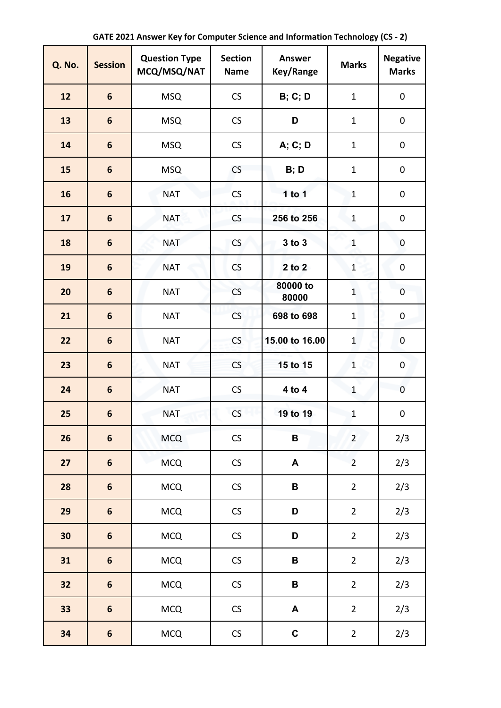| <b>Q. No.</b> | <b>Session</b>   | <b>Question Type</b><br>MCQ/MSQ/NAT | <b>Section</b><br><b>Name</b> | <b>Answer</b><br>Key/Range | <b>Marks</b>   | <b>Negative</b><br><b>Marks</b> |
|---------------|------------------|-------------------------------------|-------------------------------|----------------------------|----------------|---------------------------------|
| 12            | $6\phantom{1}$   | <b>MSQ</b>                          | CS                            | <b>B</b> ; C; D            | $\mathbf{1}$   | $\pmb{0}$                       |
| 13            | 6                | <b>MSQ</b>                          | CS                            | D                          | $\mathbf{1}$   | $\pmb{0}$                       |
| 14            | 6                | <b>MSQ</b>                          | CS                            | A; C; D                    | $\mathbf{1}$   | 0                               |
| 15            | 6                | <b>MSQ</b>                          | CS                            | B; D                       | $\mathbf{1}$   | 0                               |
| 16            | 6                | <b>NAT</b>                          | CS                            | 1 to $1$                   | $\mathbf{1}$   | 0                               |
| 17            | 6                | <b>NAT</b>                          | CS                            | 256 to 256                 | $\mathbf{1}$   | 0                               |
| 18            | 6                | <b>NAT</b>                          | CS                            | 3 to 3                     | $\mathbf{1}$   | $\mathbf 0$                     |
| 19            | 6                | <b>NAT</b>                          | CS                            | 2 to 2                     | $\mathbf{1}$   | $\pmb{0}$                       |
| 20            | 6                | <b>NAT</b>                          | CS                            | 80000 to<br>80000          | $\mathbf{1}$   | $\mathbf 0$                     |
| 21            | 6                | <b>NAT</b>                          | CS                            | 698 to 698                 | $\mathbf{1}$   | 0                               |
| 22            | 6                | <b>NAT</b>                          | CS                            | 15.00 to 16.00             | $\mathbf{1}$   | $\mathbf 0$                     |
| 23            | $6\phantom{1}$   | <b>NAT</b>                          | CS                            | 15 to 15                   | $\mathbf{1}$   | $\mathbf 0$                     |
| 24            | $6\phantom{1}$   | <b>NAT</b>                          | CS                            | 4 to 4                     | $\mathbf{1}$   | $\pmb{0}$                       |
| 25            | $6\phantom{1}$   | <b>NAT</b>                          | CS                            | 19 to 19                   | $\mathbf{1}$   | $\pmb{0}$                       |
| 26            | $\boldsymbol{6}$ | <b>MCQ</b>                          | CS                            | $\overline{\mathbf{B}}$    | $\overline{2}$ | 2/3                             |
| 27            | $\boldsymbol{6}$ | <b>MCQ</b>                          | $\mathsf{CS}\xspace$          | $\blacktriangle$           | $\overline{2}$ | 2/3                             |
| 28            | $\boldsymbol{6}$ | <b>MCQ</b>                          | $\mathsf{CS}\xspace$          | $\, {\bf B}$               | $\overline{2}$ | 2/3                             |
| 29            | $\boldsymbol{6}$ | <b>MCQ</b>                          | $\mathsf{CS}\xspace$          | D                          | $\overline{2}$ | 2/3                             |
| 30            | $\boldsymbol{6}$ | <b>MCQ</b>                          | $\mathsf{CS}\xspace$          | D                          | $\overline{2}$ | 2/3                             |
| 31            | $\boldsymbol{6}$ | <b>MCQ</b>                          | $\mathsf{CS}\xspace$          | $\, {\bf B}$               | $\overline{2}$ | 2/3                             |
| 32            | $\boldsymbol{6}$ | <b>MCQ</b>                          | CS                            | $\, {\bf B}$               | $\overline{2}$ | 2/3                             |
| 33            | $\boldsymbol{6}$ | <b>MCQ</b>                          | $\mathsf{CS}\xspace$          | $\blacktriangle$           | $\overline{2}$ | 2/3                             |
| 34            | $\boldsymbol{6}$ | <b>MCQ</b>                          | $\mathsf{CS}\xspace$          | $\mathbf C$                | $\overline{2}$ | 2/3                             |